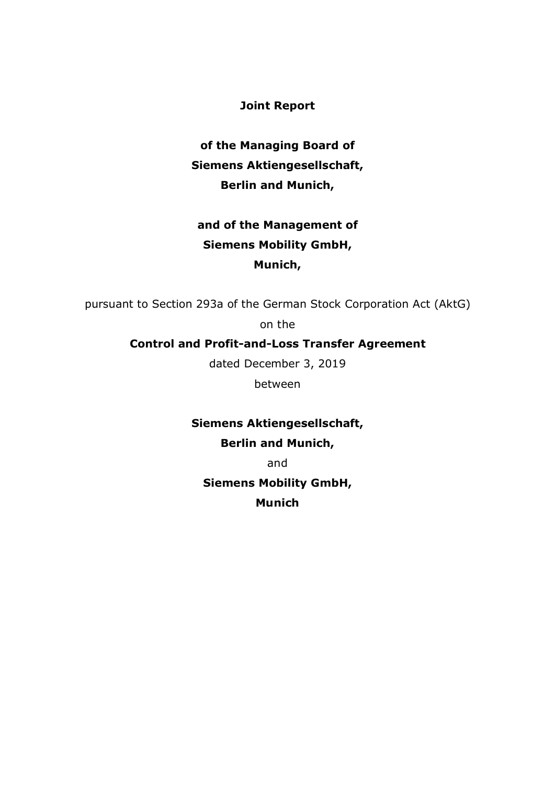**Joint Report**

**of the Managing Board of Siemens Aktiengesellschaft, Berlin and Munich,**

# **and of the Management of Siemens Mobility GmbH, Munich,**

pursuant to Section 293a of the German Stock Corporation Act (AktG)

on the

# **Control and Profit-and-Loss Transfer Agreement**

dated December 3, 2019

between

**Siemens Aktiengesellschaft, Berlin and Munich,**

and

**Siemens Mobility GmbH, Munich**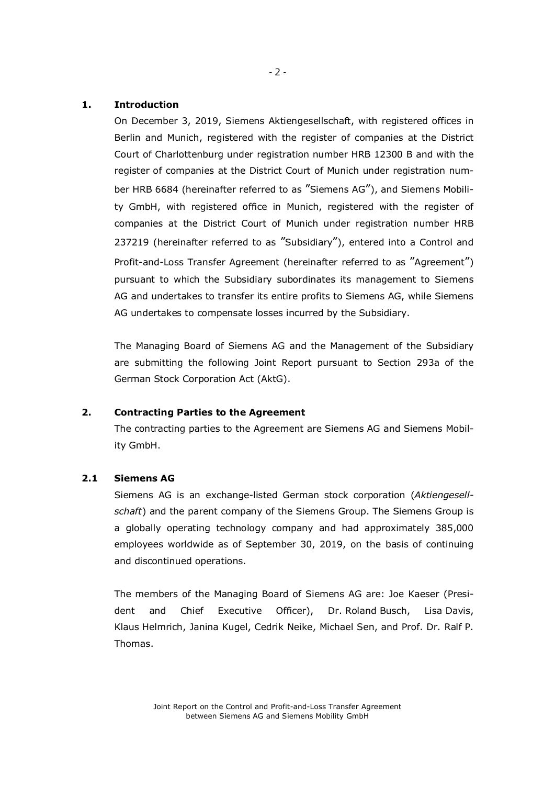### **1. Introduction**

On December 3, 2019, Siemens Aktiengesellschaft, with registered offices in Berlin and Munich, registered with the register of companies at the District Court of Charlottenburg under registration number HRB 12300 B and with the register of companies at the District Court of Munich under registration number HRB 6684 (hereinafter referred to as "Siemens AG"), and Siemens Mobility GmbH, with registered office in Munich, registered with the register of companies at the District Court of Munich under registration number HRB 237219 (hereinafter referred to as "Subsidiary"), entered into a Control and Profit-and-Loss Transfer Agreement (hereinafter referred to as "Agreement") pursuant to which the Subsidiary subordinates its management to Siemens AG and undertakes to transfer its entire profits to Siemens AG, while Siemens AG undertakes to compensate losses incurred by the Subsidiary.

The Managing Board of Siemens AG and the Management of the Subsidiary are submitting the following Joint Report pursuant to Section 293a of the German Stock Corporation Act (AktG).

#### **2. Contracting Parties to the Agreement**

The contracting parties to the Agreement are Siemens AG and Siemens Mobility GmbH.

### **2.1 Siemens AG**

Siemens AG is an exchange-listed German stock corporation (*Aktiengesellschaft*) and the parent company of the Siemens Group. The Siemens Group is a globally operating technology company and had approximately 385,000 employees worldwide as of September 30, 2019, on the basis of continuing and discontinued operations.

The members of the Managing Board of Siemens AG are: Joe Kaeser (President and Chief Executive Officer), Dr. Roland Busch, Lisa Davis, Klaus Helmrich, Janina Kugel, Cedrik Neike, Michael Sen, and Prof. Dr. Ralf P. Thomas.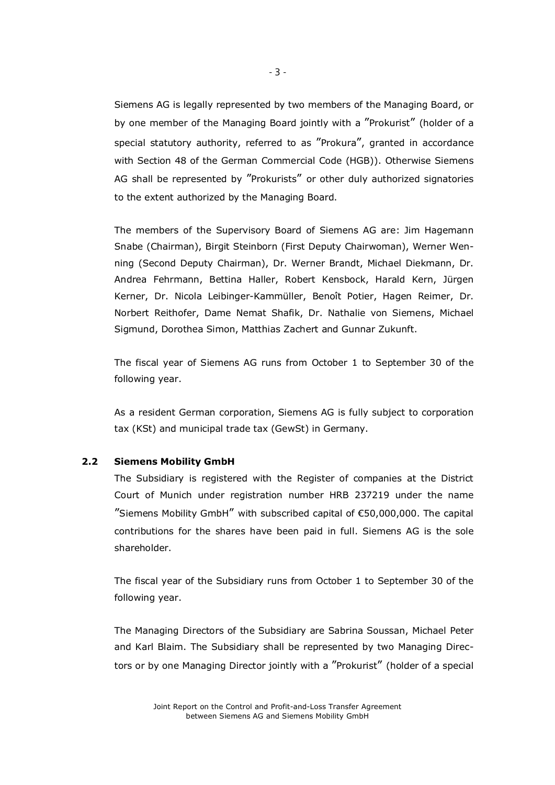Siemens AG is legally represented by two members of the Managing Board, or by one member of the Managing Board jointly with a "Prokurist" (holder of a special statutory authority, referred to as "Prokura", granted in accordance with Section 48 of the German Commercial Code (HGB)). Otherwise Siemens AG shall be represented by "Prokurists" or other duly authorized signatories to the extent authorized by the Managing Board.

The members of the Supervisory Board of Siemens AG are: Jim Hagemann Snabe (Chairman), Birgit Steinborn (First Deputy Chairwoman), Werner Wenning (Second Deputy Chairman), Dr. Werner Brandt, Michael Diekmann, Dr. Andrea Fehrmann, Bettina Haller, Robert Kensbock, Harald Kern, Jürgen Kerner, Dr. Nicola Leibinger-Kammüller, Benoît Potier, Hagen Reimer, Dr. Norbert Reithofer, Dame Nemat Shafik, Dr. Nathalie von Siemens, Michael Sigmund, Dorothea Simon, Matthias Zachert and Gunnar Zukunft.

The fiscal year of Siemens AG runs from October 1 to September 30 of the following year.

As a resident German corporation, Siemens AG is fully subject to corporation tax (KSt) and municipal trade tax (GewSt) in Germany.

#### **2.2 Siemens Mobility GmbH**

The Subsidiary is registered with the Register of companies at the District Court of Munich under registration number HRB 237219 under the name "Siemens Mobility GmbH" with subscribed capital of  $\epsilon$ 50,000,000. The capital contributions for the shares have been paid in full. Siemens AG is the sole shareholder.

The fiscal year of the Subsidiary runs from October 1 to September 30 of the following year.

The Managing Directors of the Subsidiary are Sabrina Soussan, Michael Peter and Karl Blaim. The Subsidiary shall be represented by two Managing Directors or by one Managing Director jointly with a "Prokurist" (holder of a special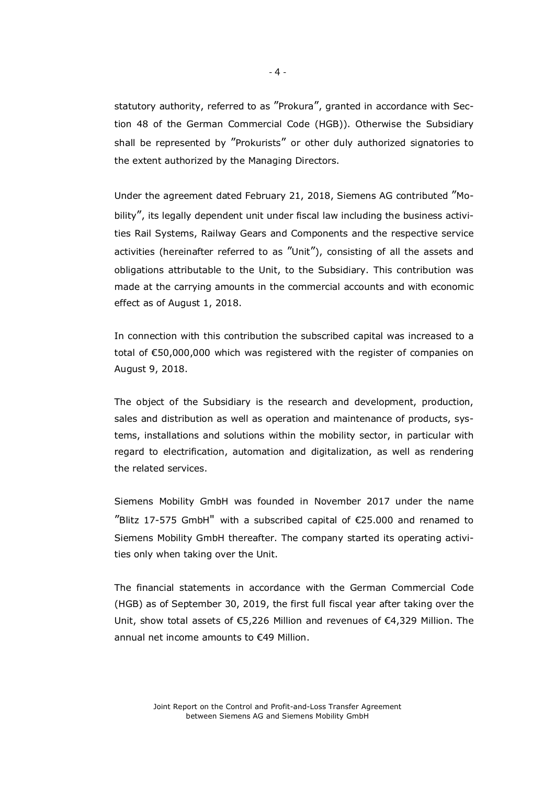statutory authority, referred to as "Prokura", granted in accordance with Section 48 of the German Commercial Code (HGB)). Otherwise the Subsidiary shall be represented by "Prokurists" or other duly authorized signatories to the extent authorized by the Managing Directors.

Under the agreement dated February 21, 2018, Siemens AG contributed "Mobility", its legally dependent unit under fiscal law including the business activities Rail Systems, Railway Gears and Components and the respective service activities (hereinafter referred to as "Unit"), consisting of all the assets and obligations attributable to the Unit, to the Subsidiary. This contribution was made at the carrying amounts in the commercial accounts and with economic effect as of August 1, 2018.

In connection with this contribution the subscribed capital was increased to a total of €50,000,000 which was registered with the register of companies on August 9, 2018.

The object of the Subsidiary is the research and development, production, sales and distribution as well as operation and maintenance of products, systems, installations and solutions within the mobility sector, in particular with regard to electrification, automation and digitalization, as well as rendering the related services.

Siemens Mobility GmbH was founded in November 2017 under the name "Blitz 17-575 GmbH" with a subscribed capital of €25.000 and renamed to Siemens Mobility GmbH thereafter. The company started its operating activities only when taking over the Unit.

The financial statements in accordance with the German Commercial Code (HGB) as of September 30, 2019, the first full fiscal year after taking over the Unit, show total assets of €5,226 Million and revenues of €4,329 Million. The annual net income amounts to €49 Million.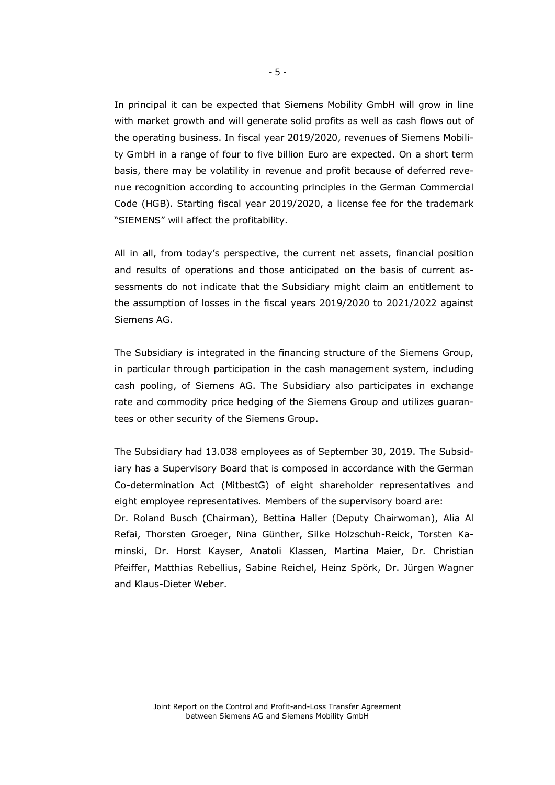In principal it can be expected that Siemens Mobility GmbH will grow in line with market growth and will generate solid profits as well as cash flows out of the operating business. In fiscal year 2019/2020, revenues of Siemens Mobility GmbH in a range of four to five billion Euro are expected. On a short term basis, there may be volatility in revenue and profit because of deferred revenue recognition according to accounting principles in the German Commercial Code (HGB). Starting fiscal year 2019/2020, a license fee for the trademark "SIEMENS" will affect the profitability.

All in all, from today's perspective, the current net assets, financial position and results of operations and those anticipated on the basis of current assessments do not indicate that the Subsidiary might claim an entitlement to the assumption of losses in the fiscal years 2019/2020 to 2021/2022 against Siemens AG.

The Subsidiary is integrated in the financing structure of the Siemens Group, in particular through participation in the cash management system, including cash pooling, of Siemens AG. The Subsidiary also participates in exchange rate and commodity price hedging of the Siemens Group and utilizes guarantees or other security of the Siemens Group.

The Subsidiary had 13.038 employees as of September 30, 2019. The Subsidiary has a Supervisory Board that is composed in accordance with the German Co-determination Act (MitbestG) of eight shareholder representatives and eight employee representatives. Members of the supervisory board are:

Dr. Roland Busch (Chairman), Bettina Haller (Deputy Chairwoman), Alia Al Refai, Thorsten Groeger, Nina Günther, Silke Holzschuh-Reick, Torsten Kaminski, Dr. Horst Kayser, Anatoli Klassen, Martina Maier, Dr. Christian Pfeiffer, Matthias Rebellius, Sabine Reichel, Heinz Spörk, Dr. Jürgen Wagner and Klaus-Dieter Weber.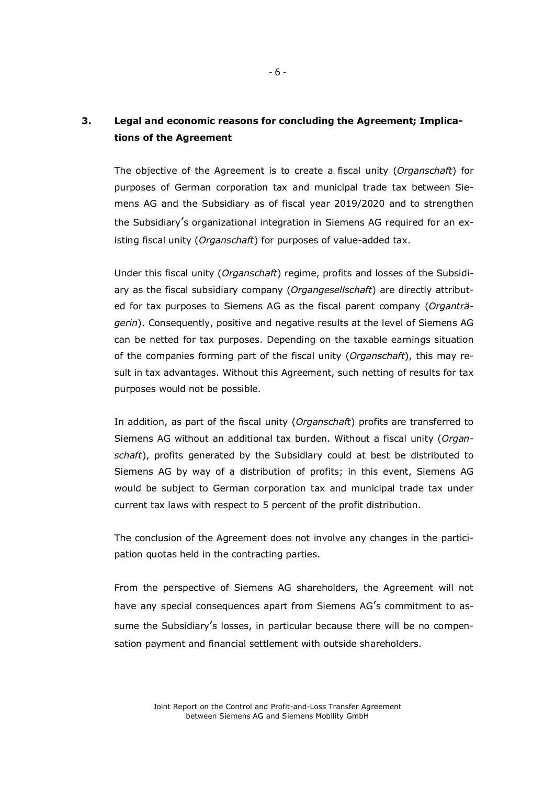# **3. Legal and economic reasons for concluding the Agreement; Implications of the Agreement**

The objective of the Agreement is to create a fiscal unity (*Organschaft*) for purposes of German corporation tax and municipal trade tax between Siemens AG and the Subsidiary as of fiscal year 2019/2020 and to strengthen the Subsidiary's organizational integration in Siemens AG required for an existing fiscal unity (*Organschaft*) for purposes of value-added tax.

Under this fiscal unity (*Organschaft*) regime, profits and losses of the Subsidiary as the fiscal subsidiary company (*Organgesellschaft*) are directly attributed for tax purposes to Siemens AG as the fiscal parent company (*Organträgerin*). Consequently, positive and negative results at the level of Siemens AG can be netted for tax purposes. Depending on the taxable earnings situation of the companies forming part of the fiscal unity (*Organschaft*), this may result in tax advantages. Without this Agreement, such netting of results for tax purposes would not be possible.

In addition, as part of the fiscal unity (*Organschaft*) profits are transferred to Siemens AG without an additional tax burden. Without a fiscal unity (*Organschaft*), profits generated by the Subsidiary could at best be distributed to Siemens AG by way of a distribution of profits; in this event, Siemens AG would be subject to German corporation tax and municipal trade tax under current tax laws with respect to 5 percent of the profit distribution.

The conclusion of the Agreement does not involve any changes in the participation quotas held in the contracting parties.

From the perspective of Siemens AG shareholders, the Agreement will not have any special consequences apart from Siemens AG's commitment to assume the Subsidiary's losses, in particular because there will be no compensation payment and financial settlement with outside shareholders.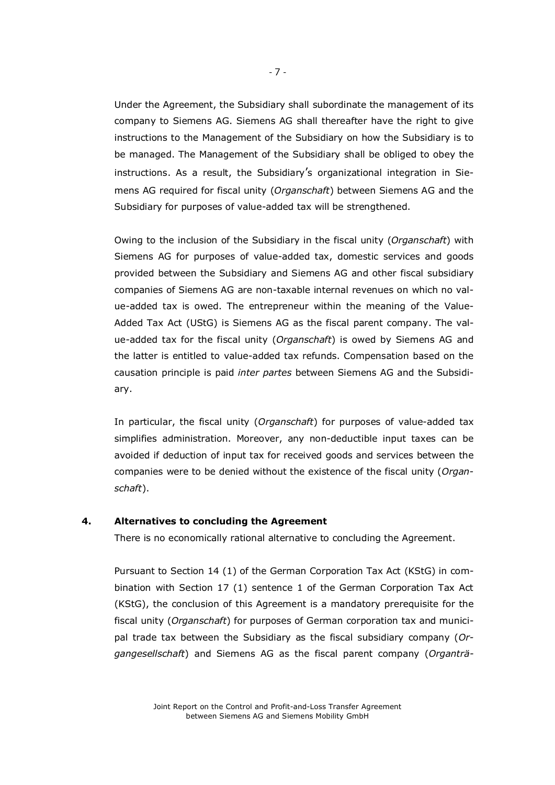Under the Agreement, the Subsidiary shall subordinate the management of its company to Siemens AG. Siemens AG shall thereafter have the right to give instructions to the Management of the Subsidiary on how the Subsidiary is to be managed. The Management of the Subsidiary shall be obliged to obey the instructions. As a result, the Subsidiary's organizational integration in Siemens AG required for fiscal unity (*Organschaft*) between Siemens AG and the Subsidiary for purposes of value-added tax will be strengthened.

Owing to the inclusion of the Subsidiary in the fiscal unity (*Organschaft*) with Siemens AG for purposes of value-added tax, domestic services and goods provided between the Subsidiary and Siemens AG and other fiscal subsidiary companies of Siemens AG are non-taxable internal revenues on which no value-added tax is owed. The entrepreneur within the meaning of the Value-Added Tax Act (UStG) is Siemens AG as the fiscal parent company. The value-added tax for the fiscal unity (*Organschaft*) is owed by Siemens AG and the latter is entitled to value-added tax refunds. Compensation based on the causation principle is paid *inter partes* between Siemens AG and the Subsidiary.

In particular, the fiscal unity (*Organschaft*) for purposes of value-added tax simplifies administration. Moreover, any non-deductible input taxes can be avoided if deduction of input tax for received goods and services between the companies were to be denied without the existence of the fiscal unity (*Organschaft*).

#### **4. Alternatives to concluding the Agreement**

There is no economically rational alternative to concluding the Agreement.

Pursuant to Section 14 (1) of the German Corporation Tax Act (KStG) in combination with Section 17 (1) sentence 1 of the German Corporation Tax Act (KStG), the conclusion of this Agreement is a mandatory prerequisite for the fiscal unity (*Organschaft*) for purposes of German corporation tax and municipal trade tax between the Subsidiary as the fiscal subsidiary company (*Organgesellschaft*) and Siemens AG as the fiscal parent company (*Organträ-*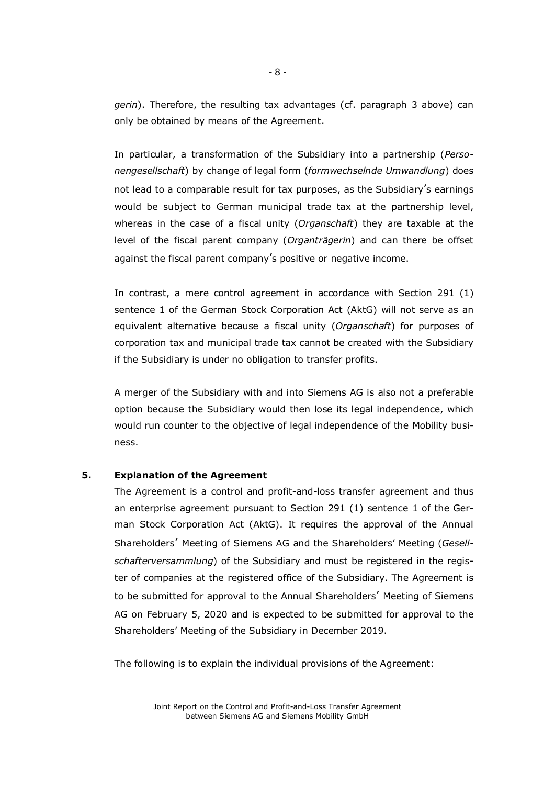*gerin*). Therefore, the resulting tax advantages (cf. paragraph 3 above) can only be obtained by means of the Agreement.

In particular, a transformation of the Subsidiary into a partnership (*Personengesellschaft*) by change of legal form (*formwechselnde Umwandlung*) does not lead to a comparable result for tax purposes, as the Subsidiary's earnings would be subject to German municipal trade tax at the partnership level, whereas in the case of a fiscal unity (*Organschaft*) they are taxable at the level of the fiscal parent company (*Organträgerin*) and can there be offset against the fiscal parent company's positive or negative income.

In contrast, a mere control agreement in accordance with Section 291 (1) sentence 1 of the German Stock Corporation Act (AktG) will not serve as an equivalent alternative because a fiscal unity (*Organschaft*) for purposes of corporation tax and municipal trade tax cannot be created with the Subsidiary if the Subsidiary is under no obligation to transfer profits.

A merger of the Subsidiary with and into Siemens AG is also not a preferable option because the Subsidiary would then lose its legal independence, which would run counter to the objective of legal independence of the Mobility business.

# **5. Explanation of the Agreement**

The Agreement is a control and profit-and-loss transfer agreement and thus an enterprise agreement pursuant to Section 291 (1) sentence 1 of the German Stock Corporation Act (AktG). It requires the approval of the Annual Shareholders' Meeting of Siemens AG and the Shareholders' Meeting (*Gesellschafterversammlung*) of the Subsidiary and must be registered in the register of companies at the registered office of the Subsidiary. The Agreement is to be submitted for approval to the Annual Shareholders' Meeting of Siemens AG on February 5, 2020 and is expected to be submitted for approval to the Shareholders' Meeting of the Subsidiary in December 2019.

The following is to explain the individual provisions of the Agreement:

Joint Report on the Control and Profit-and-Loss Transfer Agreement between Siemens AG and Siemens Mobility GmbH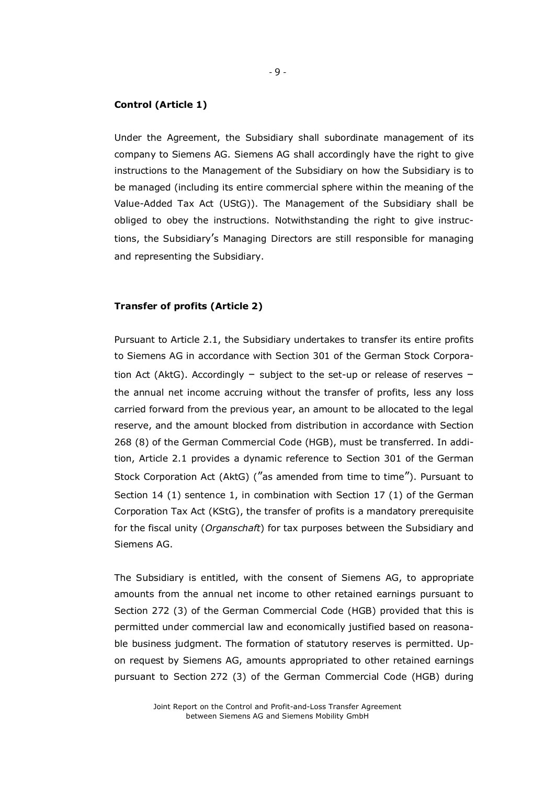#### **Control (Article 1)**

Under the Agreement, the Subsidiary shall subordinate management of its company to Siemens AG. Siemens AG shall accordingly have the right to give instructions to the Management of the Subsidiary on how the Subsidiary is to be managed (including its entire commercial sphere within the meaning of the Value-Added Tax Act (UStG)). The Management of the Subsidiary shall be obliged to obey the instructions. Notwithstanding the right to give instructions, the Subsidiary's Managing Directors are still responsible for managing and representing the Subsidiary.

#### **Transfer of profits (Article 2)**

Pursuant to Article 2.1, the Subsidiary undertakes to transfer its entire profits to Siemens AG in accordance with Section 301 of the German Stock Corporation Act (AktG). Accordingly – subject to the set-up or release of reserves – the annual net income accruing without the transfer of profits, less any loss carried forward from the previous year, an amount to be allocated to the legal reserve, and the amount blocked from distribution in accordance with Section 268 (8) of the German Commercial Code (HGB), must be transferred. In addition, Article 2.1 provides a dynamic reference to Section 301 of the German Stock Corporation Act (AktG) ("as amended from time to time"). Pursuant to Section 14 (1) sentence 1, in combination with Section 17 (1) of the German Corporation Tax Act (KStG), the transfer of profits is a mandatory prerequisite for the fiscal unity (*Organschaft*) for tax purposes between the Subsidiary and Siemens AG.

The Subsidiary is entitled, with the consent of Siemens AG, to appropriate amounts from the annual net income to other retained earnings pursuant to Section 272 (3) of the German Commercial Code (HGB) provided that this is permitted under commercial law and economically justified based on reasonable business judgment. The formation of statutory reserves is permitted. Upon request by Siemens AG, amounts appropriated to other retained earnings pursuant to Section 272 (3) of the German Commercial Code (HGB) during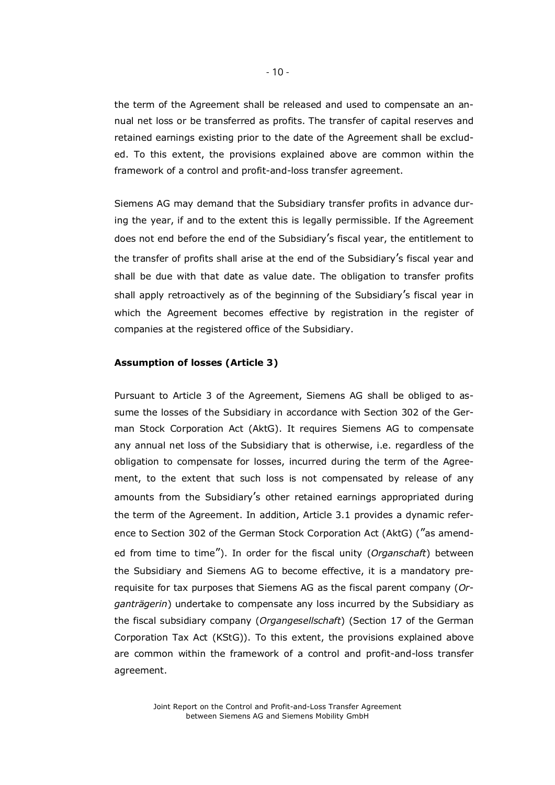the term of the Agreement shall be released and used to compensate an annual net loss or be transferred as profits. The transfer of capital reserves and retained earnings existing prior to the date of the Agreement shall be excluded. To this extent, the provisions explained above are common within the framework of a control and profit-and-loss transfer agreement.

Siemens AG may demand that the Subsidiary transfer profits in advance during the year, if and to the extent this is legally permissible. If the Agreement does not end before the end of the Subsidiary's fiscal year, the entitlement to the transfer of profits shall arise at the end of the Subsidiary's fiscal year and shall be due with that date as value date. The obligation to transfer profits shall apply retroactively as of the beginning of the Subsidiary's fiscal year in which the Agreement becomes effective by registration in the register of companies at the registered office of the Subsidiary.

# **Assumption of losses (Article 3)**

Pursuant to Article 3 of the Agreement, Siemens AG shall be obliged to assume the losses of the Subsidiary in accordance with Section 302 of the German Stock Corporation Act (AktG). It requires Siemens AG to compensate any annual net loss of the Subsidiary that is otherwise, i.e. regardless of the obligation to compensate for losses, incurred during the term of the Agreement, to the extent that such loss is not compensated by release of any amounts from the Subsidiary's other retained earnings appropriated during the term of the Agreement. In addition, Article 3.1 provides a dynamic reference to Section 302 of the German Stock Corporation Act (AktG) ("as amended from time to time"). In order for the fiscal unity (*Organschaft*) between the Subsidiary and Siemens AG to become effective, it is a mandatory prerequisite for tax purposes that Siemens AG as the fiscal parent company (*Organträgerin*) undertake to compensate any loss incurred by the Subsidiary as the fiscal subsidiary company (*Organgesellschaft*) (Section 17 of the German Corporation Tax Act (KStG)). To this extent, the provisions explained above are common within the framework of a control and profit-and-loss transfer agreement.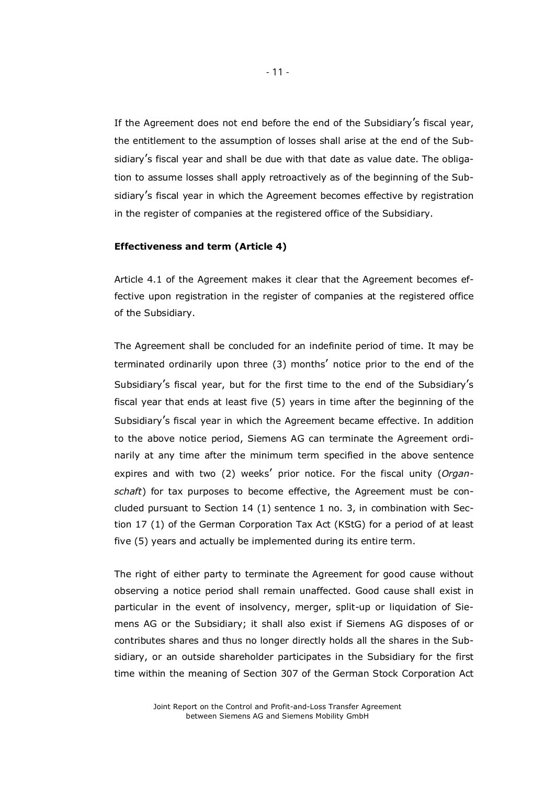If the Agreement does not end before the end of the Subsidiary's fiscal year, the entitlement to the assumption of losses shall arise at the end of the Subsidiary's fiscal year and shall be due with that date as value date. The obligation to assume losses shall apply retroactively as of the beginning of the Subsidiary's fiscal year in which the Agreement becomes effective by registration in the register of companies at the registered office of the Subsidiary.

#### **Effectiveness and term (Article 4)**

Article 4.1 of the Agreement makes it clear that the Agreement becomes effective upon registration in the register of companies at the registered office of the Subsidiary.

The Agreement shall be concluded for an indefinite period of time. It may be terminated ordinarily upon three (3) months' notice prior to the end of the Subsidiary's fiscal year, but for the first time to the end of the Subsidiary's fiscal year that ends at least five (5) years in time after the beginning of the Subsidiary's fiscal year in which the Agreement became effective. In addition to the above notice period, Siemens AG can terminate the Agreement ordinarily at any time after the minimum term specified in the above sentence expires and with two (2) weeks' prior notice. For the fiscal unity (*Organschaft*) for tax purposes to become effective, the Agreement must be concluded pursuant to Section 14 (1) sentence 1 no. 3, in combination with Section 17 (1) of the German Corporation Tax Act (KStG) for a period of at least five (5) years and actually be implemented during its entire term.

The right of either party to terminate the Agreement for good cause without observing a notice period shall remain unaffected. Good cause shall exist in particular in the event of insolvency, merger, split-up or liquidation of Siemens AG or the Subsidiary; it shall also exist if Siemens AG disposes of or contributes shares and thus no longer directly holds all the shares in the Subsidiary, or an outside shareholder participates in the Subsidiary for the first time within the meaning of Section 307 of the German Stock Corporation Act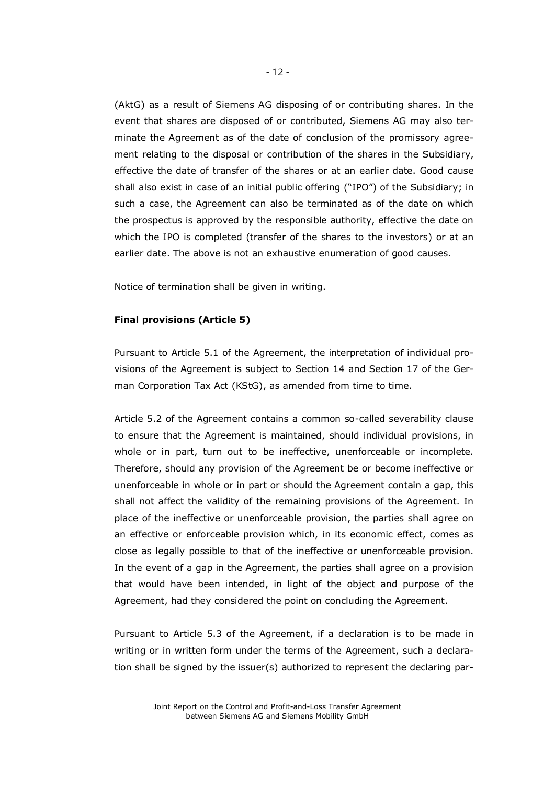(AktG) as a result of Siemens AG disposing of or contributing shares. In the event that shares are disposed of or contributed, Siemens AG may also terminate the Agreement as of the date of conclusion of the promissory agreement relating to the disposal or contribution of the shares in the Subsidiary, effective the date of transfer of the shares or at an earlier date. Good cause shall also exist in case of an initial public offering ("IPO") of the Subsidiary; in such a case, the Agreement can also be terminated as of the date on which the prospectus is approved by the responsible authority, effective the date on which the IPO is completed (transfer of the shares to the investors) or at an earlier date. The above is not an exhaustive enumeration of good causes.

Notice of termination shall be given in writing.

#### **Final provisions (Article 5)**

Pursuant to Article 5.1 of the Agreement, the interpretation of individual provisions of the Agreement is subject to Section 14 and Section 17 of the German Corporation Tax Act (KStG), as amended from time to time.

Article 5.2 of the Agreement contains a common so-called severability clause to ensure that the Agreement is maintained, should individual provisions, in whole or in part, turn out to be ineffective, unenforceable or incomplete. Therefore, should any provision of the Agreement be or become ineffective or unenforceable in whole or in part or should the Agreement contain a gap, this shall not affect the validity of the remaining provisions of the Agreement. In place of the ineffective or unenforceable provision, the parties shall agree on an effective or enforceable provision which, in its economic effect, comes as close as legally possible to that of the ineffective or unenforceable provision. In the event of a gap in the Agreement, the parties shall agree on a provision that would have been intended, in light of the object and purpose of the Agreement, had they considered the point on concluding the Agreement.

Pursuant to Article 5.3 of the Agreement, if a declaration is to be made in writing or in written form under the terms of the Agreement, such a declaration shall be signed by the issuer(s) authorized to represent the declaring par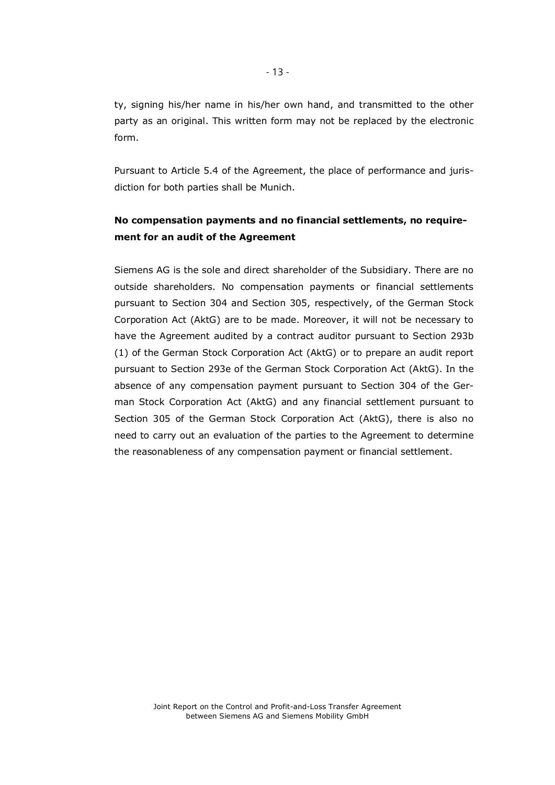ty, signing his/her name in his/her own hand, and transmitted to the other party as an original. This written form may not be replaced by the electronic form.

Pursuant to Article 5.4 of the Agreement, the place of performance and jurisdiction for both parties shall be Munich.

# **No compensation payments and no financial settlements, no requirement for an audit of the Agreement**

Siemens AG is the sole and direct shareholder of the Subsidiary. There are no outside shareholders. No compensation payments or financial settlements pursuant to Section 304 and Section 305, respectively, of the German Stock Corporation Act (AktG) are to be made. Moreover, it will not be necessary to have the Agreement audited by a contract auditor pursuant to Section 293b (1) of the German Stock Corporation Act (AktG) or to prepare an audit report pursuant to Section 293e of the German Stock Corporation Act (AktG). In the absence of any compensation payment pursuant to Section 304 of the German Stock Corporation Act (AktG) and any financial settlement pursuant to Section 305 of the German Stock Corporation Act (AktG), there is also no need to carry out an evaluation of the parties to the Agreement to determine the reasonableness of any compensation payment or financial settlement.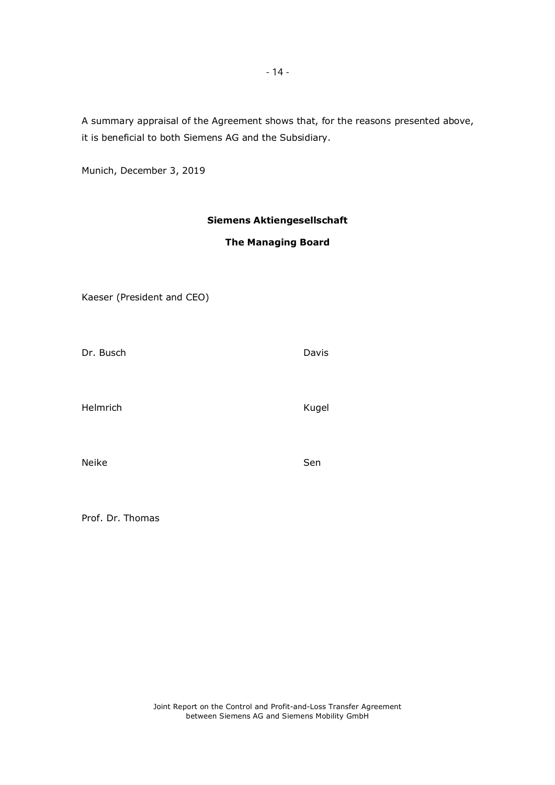A summary appraisal of the Agreement shows that, for the reasons presented above, it is beneficial to both Siemens AG and the Subsidiary.

Munich, December 3, 2019

# **Siemens Aktiengesellschaft**

# **The Managing Board**

| Kaeser (President and CEO) |  |
|----------------------------|--|
|----------------------------|--|

Dr. Busch Davis

Helmrich Kugel

Neike Sen

Prof. Dr. Thomas

Joint Report on the Control and Profit-and-Loss Transfer Agreement between Siemens AG and Siemens Mobility GmbH